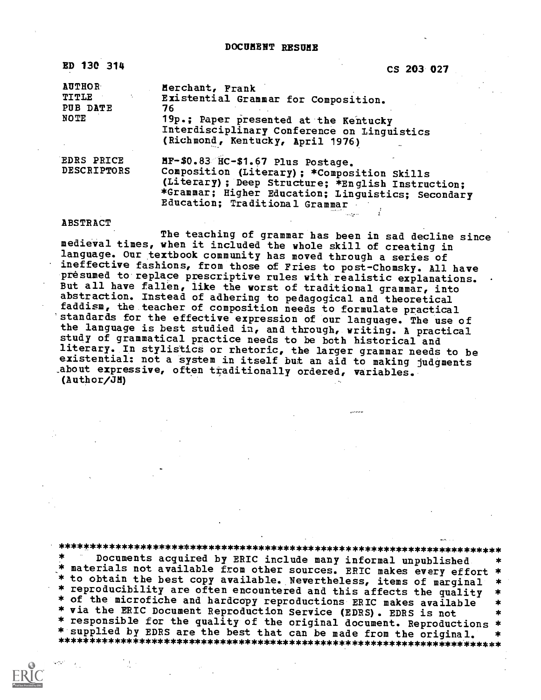DOCUMENT RESUME

| ED 130 314                                               | CS 203 027                                                                                                                                                                                                                     |
|----------------------------------------------------------|--------------------------------------------------------------------------------------------------------------------------------------------------------------------------------------------------------------------------------|
| <b>AUTHOR</b><br><b>TITLE</b><br>PUB DATE<br><b>NOTE</b> | Merchant, Frank<br>Existential Grammar for Composition.<br>76<br>19p.; Paper presented at the Kentucky<br>Interdisciplinary Conference on Linguistics<br>(Richmond, Kentucky, April 1976)                                      |
| <b>EDRS PRICE</b><br><b>DESCRIPTORS</b>                  | MF-\$0.83 HC-\$1.67 Plus Postage.<br>Composition (Literary); *Composition Skills<br>(Literary) ; Deep Structure; *English Instruction;<br>*Grammar; Higher Education; Linguistics; Secondary<br>Education; Traditional Grammar |

### ABSTRACT

The teaching of grammar has been in sad decline since<br>medieval times, when it included the whole skill of creating in language. Our textbook community has moved through a series of ineffective fashions, from those of Fries to post-Chomsky. All have<br>presumed to replace prescriptive rules with realistic explanations. But all have fallen, like the worst of traditional grammar, into abstraction. Instead of adhering to pedagogical and theoretical faddism, the teacher of composition needs to formulate practical standards for the effective expression of our language. The use of the language is best studied in, and through, writing. A practical study of grammatical practice needs to be both historical and literary. In stylistics or rhetoric, the larger grammar needs to be existential: not a system in itself but an aid to making judgments .about expressive, often traditionally ordered, variables. (Author/JM)

\*\*\*\*\*\*\*\*\*\*\*\*\*\*\*\*\*\*\*\*\*\*\*\*\*\*\*\*\*\*\*\*\*\*\*\*\*\*\*\*\*\*\*\*\*\*\*\*\*\*\*\*\*\*\*\*\*\*\*\*\*\*\*\*\*\*\*\*\*\*\* \* materials not available from other sources. ERIC makes every effort \* materials not available. Nevertheless, items of marginal \* - to obtain the best copy available. Nevertheless, items of marginal \*<br>\* reproducibility are often encountered and this affects the quality \*<br>\* of the microfiche and hardcopy reproductions ERIC makes available \*<br>\* via the \* responsible for the quality of the original document. Reproductions \*<br>\* supplied by EDRS are the best that can be made from the original. \* \* supplied by EDRS are the best that can be made from the original. \* \*\*\*\*\*\*\*\*\*\*\*\*\*\*\*\*\*\*\*\*\*\*\*\*\*\*\*\*\*\*\*\*\*\*\*\*\*\*\*\*\*\*\*\*\*\*\*\*\*\*\*\*\*\*\*\*\*\*\*\*\*\*\*\*\*\*\*\*\*\*\*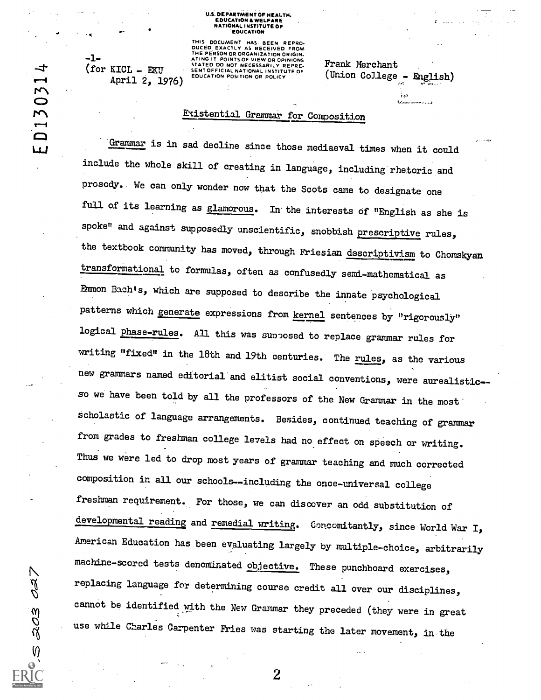### U.S. DEPARTMENT OF HEALTH. EDUCATION & WELFARE NATIONAL INSTITUTE OF EOUCATION

April 2, 1976) EDUCATION POSITION OR POLICY

THIS DOCUMENT HAS BEEN REPRO-<br>DUCED EXACTLY AS RECEIVED FROM<br>THE PERSON OR ORGANIZATION ORIGIN.<br>ATING IT POINTS OF VIEW OR OPINIONS STATED DO NOT NECESSARILY REPRE- F.P. (for KICL = EKU STATED DO NOT NECESSARILY REPRE- F.P. (f)

## Eccistential Grammar for Composition

Frank Merchant

(Union College - English)

ين<br>1977ع سامة

Grammar is in sad decline since those mediaeval times when it could include the whole skill of creating in language, including rhetoric and prosody. We can only wonder now that the Scots came to designate one full of its learning as glamorous. In the interests of "English as she is spoke" and against supposedly unscientific, snobbish prescriptive rules, the textbook community has moved, through Friesian descriptivism to Chomskyan transformational to formulas, often as confusedly semi-mathematical as Emmon Bach's, which are supposed to describe the innate psychological patterns which generate expressions from kernel sentences by "rigorously" logical phase-rules. All this was supposed to replace grammar rules for writing "fixed" in the 18th and 19th centuries. The rules, as the various new grammars named editorial and elitist social conventions, were aurealistic-so we have been told by all the professors of the New Grammar in the most scholastic of language arrangements. Besides, continued teaching of grammar from grades to freshman college levels had no effect on speech or writing. Thus we were led to drop most years of grammar teaching and much corrected composition in all our schools--including the once-universal college freshman requirement. For those, we can discover an odd substitution of developmental reading and remedial writing. Concomitantly, since World War I, American Education has been evaluating largely by multiple-choice, arbitrarily machine-scored tests denominated objective. These punchboard exercises, replacing language for determining course credit all over our disciplines, cannot be identified with the New Grammar they preceded (they were in great use while Charles Carpenter Fries was starting the later movement, in the

2

ャ D13031

Ш.

 $\mathcal{E}$ 

 $15.23$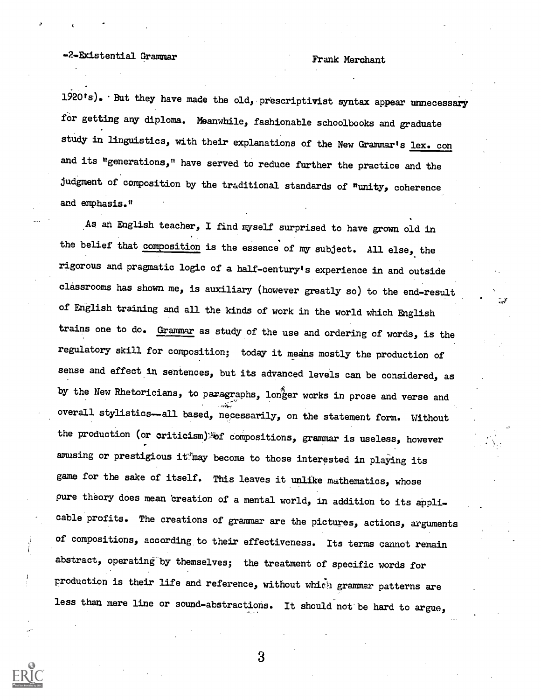# -2-Existential Grammar Frank Merchant

 $1920's$ . But they have made the old, prescriptivist syntax appear unnecessary for getting any diploma. Meanwhile, fashionable schoolbooks and graduate study in linguistics, with their explanations of the New Grammar's lex. con and its "generations," have served to reduce further the practice and the judgment of composition by the traditional standards of "unity, coherence and emphasis."

As an English teacher, I find myself surprised to have grown old in the belief that composition is the essence of my subject. All else, the rigorous and pragmatic logic of a half-century's experience in and outside classrooms has shown me, is auxiliary (however greatly so) to the end-result of English training and all the kinds of work in the world which English trains one to do. Grammar as study of the use and ordering of words, is the regulatory skill for composition; today it means mostly the production of sense and effect in sentences, but its advanced levels can be considered, as by the New Rhetoricians, to paragraphs, longer works in prose and verse and overall stylistics--all based, necessarily, on the statement form. Without the production (or criticism).<sup>5</sup>of compositions, grammar is useless, however amusing or prestigious it may become to those interested in playing its game for the sake of itself. This leaves it unlike mathematics, whose pure theory does mean creation of a mental world, in addition to its applicable profits. The creations of grammar are the pictures, actions, arguments of compositions, according to their effectiveness. Its terms cannot remain abstract, operating by themselves; the treatment of specific words for production is their life and reference, without which grammar patterns are less than mere line or sound-abstractions. It should not be hard to argue,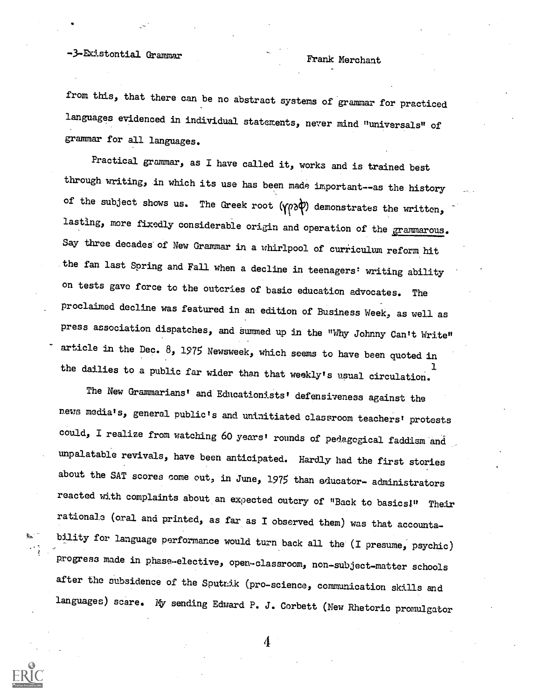# -3-Existontial Grammar Frank Merchant

from this, that there can be no abstract systems of grammar for practiced languages evidenced in individual statements, never mind "universals" of grammar for all languages.

Practical grammar, as I have called it, works and is trained best through writing, in which its use has been made important--as the history of the subject shows us. The Greek root  $(\gamma \wedge \phi)$  demonstrates the written, lasting, more fixedly considerable origin and operation of the grammarous. Say three decades of New Grammar in a whirlpool of curriculum reform hit the fan last Spring and Fall when a decline in teenagers' writing ability on tests gave force to the outcries of basic education advocates. The proclaimed decline was featured in an edition of Business Week, as well as press association dispatches, and summed up in the "Why Johnny Can't Write" article in the Dec. 8, 1975 Newsweek, which seems to have been quoted in the dailies to a public far wider than that weekly's usual circulation.

The New Grammarians' and Educationists' defensiveness against the news media's, general public's and uninitiated classroom teachers' protests could, I realize from watching 60 years' rounds of pedagogical faddism and unpalatable revivals, have been anticipated. Hardly had the first stories about the SAT scores come out, in June, 1975 than educator- administrators reacted with complaints about an expected outcry of "Back to basics!" Their rationale (oral and printed, as far as I observed them) was that accountability for language performance would turn back all the (I presume, psychic) progress made in phase-elective, open-classroom, non-sUbject-matter schools after the subsidence of the Sputnik (pro-science, communication skills and languages) scare. Iy sending Edward P. J. Corbett (New Rhetoric promulgator

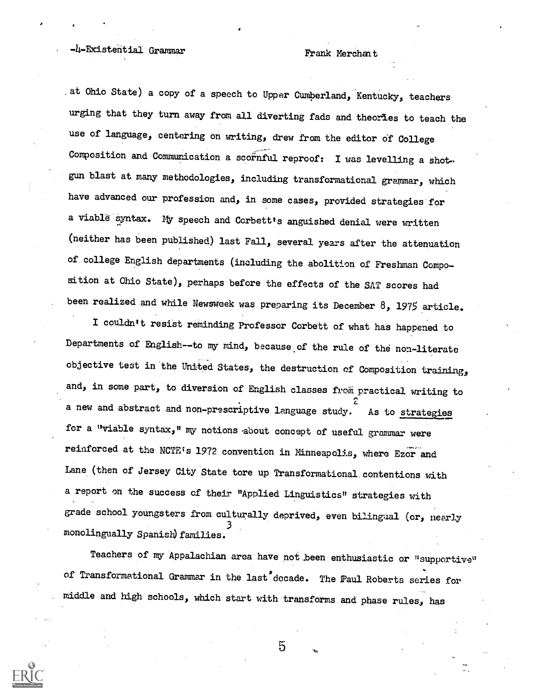# -4-Existential Grammar Frank Merchant

.at Ohio State) a copy of a speech to Upper Cumberland, Kentucky, teachers urging that they turn away from all diverting fads and theories to teach the use of language, centering on writing, drew from the editor of College Composition and Communication a scornful reproof: I was levelling a shotgun blast at many methodologies, including transformational grammar, which have advanced our profession and, in some cases, provided strategies for a viable'syntax. my speech and Corbett's anguished denial were written (neither has been published) last Fall, several years after the attenuation of college English departments (including the abolition of Freshman Composition at Ohio State), perhaps before the effects of the SAT scores had been realized and while Newsweek was preparing its December  $8$ , 1975 article.

I couldn't resist reminding Professor Corbett of what has happened to Departments of English--to my mind, because.of the rule of the non-literate objective test in'the United States, the destruction of Composition training, and, in some part, to diversion of English classes from practical writing to a new and abstract and non-prescriptive language study. As to strategies for a "viable syntax," my notions about concept of useful grammar were reinforced at the NCTE's 1972 convention in Minneapolis, where Ezor and Lane (then of Jersey City State tore up Transformational.contentions with a report on the success cf their "Applied Linguistics" strategies with grade school youngsters from culturally deprived, even bilingual (or, nearly 3 monolingually Spanish) families.

Teachers of my Appalachian area have not been enthusiastic or "supportive" of Transformational Grammar in the last decade. The Paul Roberts series for middle and high schools, which start with transforms and phase rules, has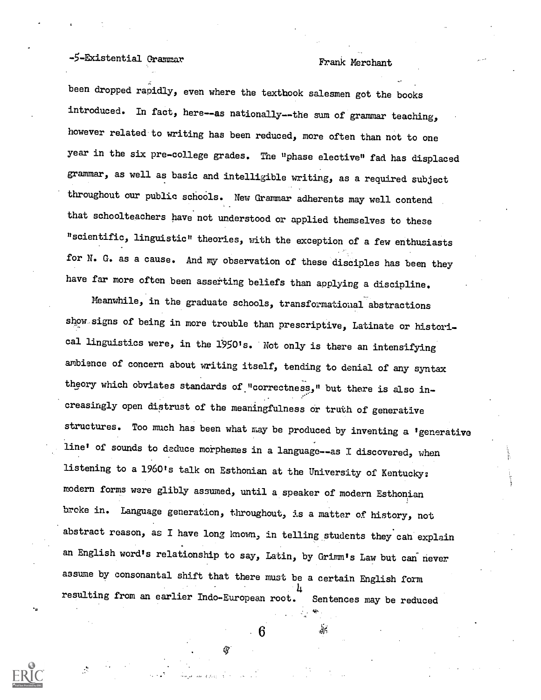# -5-Existential Grammar Frank Merchant

been dropped rapidly, even where the textbook salesmen got the books introduced. In fact, here--as nationally--the sum of grammar teaching, however related to writing has been reduced, more often than not to one year in the six pre-college grades. The "phase elective" fad has displaced grammar, as well as basic and intelligible writing, as a required subject throughout our public schoals. New Grammar adherents may well contend that schoolteachers have not understood or applied themselves to these "scientific, linguistic" theories, with the exception of a few enthusiasts for N. G. as a cause. And my observation of these disciples has been they have far more often been asserting beliefs than applying a discipline.

Meanwhile, in the graduate schools, transformational abstractions show signs of being in more trouble than prescriptive, Latinate or historical linguistics were, in the 19501s. Not only is there an intensifying ambience of concern about writing itself, tending to denial of any syntax theory which obviates standards of "correctness," but there is also increasingly open distrust of the meaningfulness or truth of generative structures. Too much has been what may be produced by inventing a 'generative line' of sounds to deduce morphemes in a language--as I discovered, when listening to a 1960's talk on Esthonian at the University of Kentucky: modern forms were glibly assumed, until a speaker of modern Esthonian broke in. Language generation, throughout, is a matter of history, not abstract reason, as I have long known, in telling students they cah explain an English word's relationship to say, Latin, by Grimm's Law but can' never assume by consonantal shift that there must be a certain English form 4 resulting from an earlier Indo-European root. Sentences may be reduced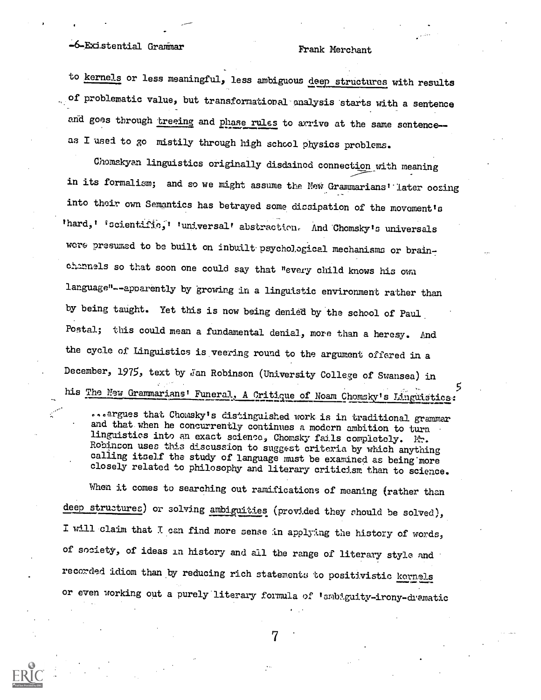## -6-Existential Grammar Frank Merchant

to kernels or less meaningful, less ambiguous deep structures with results of problematic value, but transformational-analysis starts with a sentence and goes through treeing and phase rules to arrive at the same sentence-as I used to go mistily through high school physics problems.

Chomskyan linguistics originally disdained connection with meaning in its formalism; and so we might assume the New Grammarians' later oozing into their own Semantics has betrayed some dissipation of the movement's 'hard,' 'scientific,' 'universal' abstraction. And Chomsky's universals were presumed to be built on inbuilt psychological mechanisms or brainchannels so that soon one could say that "every child knows his own language"--apparently by growing in a linguistic environment rather than by being taught. Yet this is now being denied by the school of Paul Postal; this could mean a fundamental denial, more than a heresy. And the cycle of Linguistics is.veering round to the argument offered in a December, 1975, text by Jan Robinson (University College of Swansea) in his The New Grammarians' Funeral, A Critique of Noam Chomsky's Linguistics:

....argues that Chomsky's distinguished work is in traditional grammar and that.when he concurrently continues a modern ambition to turn linguistics into an exact science, Chomsky fails completely. Mr. Rohinson uses this discussion to suggest criteria by which anything calling itself the study of language must be examined as being more closely related to philosophy and literary criticism than to science.

When it comes to searching out ramifications of meaning (rather than deep structures) or solving ambiguities (provided they should be solved), I will claim that I can find more sense in applying the history of words, of society, of ideas in history and all the range of literary style and recorded idiom than by reducing rich statements to positivistic kernels or even working out a purely literary formula of lambiguity-irony-dramatic

ر.<br>7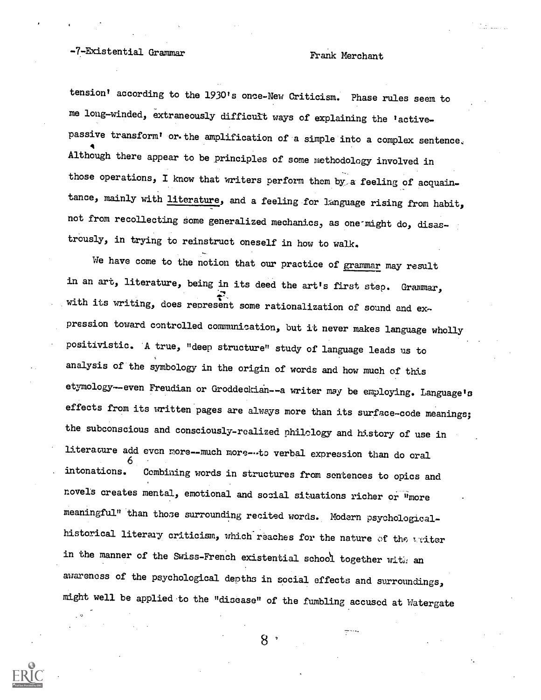## -7-Existential Grammar Frank Merchant

tension' according to the 1930's once-New Criticism. Phase rules seem to me long-winded, extraneously difficult ways of explaining the 'activepassive transform' or.the amplification of a simple into a complex sentence, 4 Although there appear to be principles of some methodology involved in those operations, I know that writers perform them by a feeling of acquaintance, mainly with literature, and a feeling for language rising from habit, not from recollecting some generalized mechanics, as one-might do, disastrously, in trying to reinstruct oneself in how to walk.

We have come to the notion that our practice of grammar may result in an art, literature, being in its deed the art's first step. Grammar, with its writing, does represent some rationalization of sound and expression toward controlled communication, but it never makes language wholly positivistic. A true, "deep structure" study of language leads us to analysis of the symbology in the origin of words and how much of this etymology--even Freudian or Groddeckian--a writer may be employing. Language's effects from its written pages are always more than its surface-code meanings; the subconscious and consciously-realized philology and history of use in literacare add even nore--much moreto verbal expression than do oral 6 . intonations. Combining words in structures from sentences to epics and novels creates mental, emotional and social situations richer or "more meaningful" than those surrounding recited words. Modern psychologicalhistorical literary criticism, which reaches for the nature of the writer in the manner of the Swiss-French existential school together with an awareness of the psychological depths in social effects and surroundings, might well be applied to the "disease" of the fumbling accused at Watergate

8.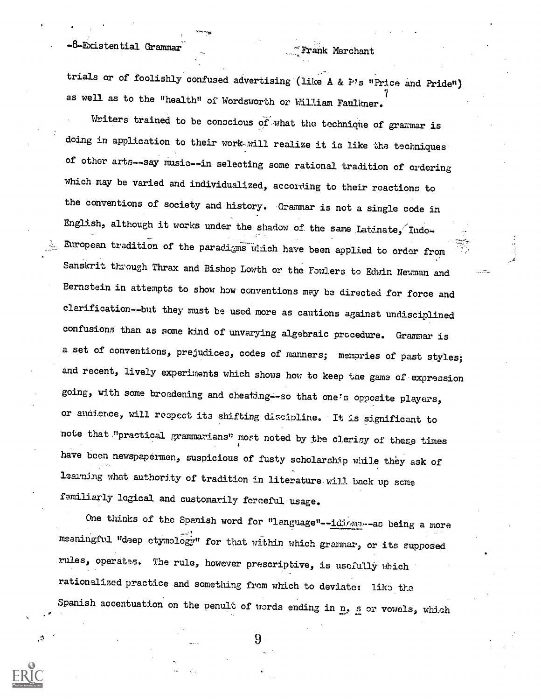## -8-Existential Grammar- '

### Frank Merchant

trials or of foolishly confused advertising (like A & P's "Price and Pride") as well as to the "health" of Wordsworth or William Faulkner.

Writers trained to be conscious of what the technique of grammar is doing in application to their work-will realize it is like the techniques of other arts--say music--in selecting some rational tradition of ordering which may be varied and individualized, according to their reactions to the conventions of society and history. Grammar is not a single code in English, although it works under the shadow of the same Latinate, Indo-European tradition of the paradigms which have been applied to order from Sanskrit through Thrax and Bishop Lowth or the Fowlers to Edwin Newman and Bernstein in attempts to show how conventions may be directed for force and elarification--but they must be used more as cautions against undisciplined confusions than as some kind of unvarying algebraic procedure. Grammar is a set of conventions, prejudices, codes of manners; memories of past styles; and recent, lively experiments which shows how to keep the game of expression going, with some broadening and cheating--so that one's opposite players, or audieme, will respect its shifting discipline. It is significant to note that."prastical grammarians" most noted by the clerisy of these times <sup>4</sup> have been newspapermen, suspicious of fusty scholarship while they ask of learning what authority of tradition in literature will back up some familiarly logical and customarily forceful usage.

One thinks of the Spanish word for "language"--idioma--as being a more meaningful "deep etymology" for that within which grammar, or its supposed rules, operates. The rule, however prescriptive, is usefully which rationalized practice and something from which to deviate: liks the. Spanish accentuation on the penult of words ending in  $n$ , s or vowels, which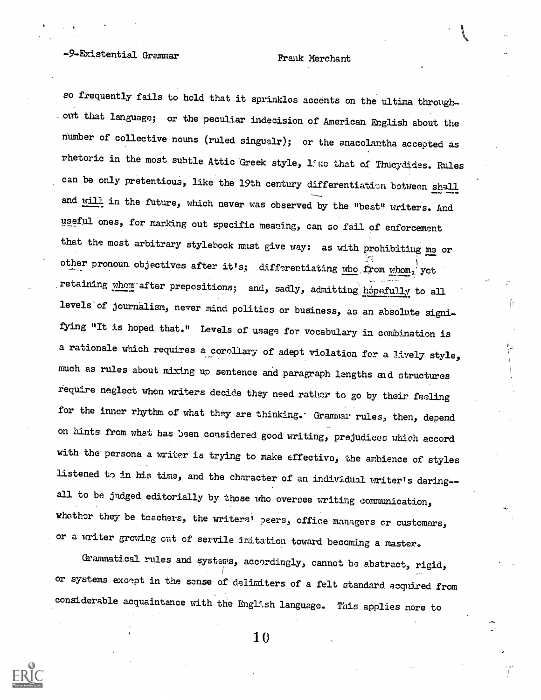## -9-Existential Grammar Frank Merchant

so frequently fails to hold that it sprinkles accents on the ultima through-\_out that language; or the peculiar indecision of American English about the number of collective nouns (ruled singualr); or the anacolantha accepted as rhetoric in the most subtle Attic Greek style, like that of Thuoydides. Rules can be only pretentious, like the 19th century differentiation between shall and will in the future, which never was observed by the "best" writers. And useful ones, for marking out specific meaning, can so fail of enforcement that the most arbitrary stylebook must give way: as with prohibiting me or other pronoun objectives after it's; differentiating who from whom, yet retaining whom after prepositions; and, sadly, admitting hopefully to all levels of journalism, never mind politics or business, as an absolute signifying "It is hoped that." Levels of usage for vocabulary in combination is a rationale which requires a corollary of adept violation for a lively style, much as rules about mixing up sentence and paragraph lengths and structures require neglect when writers decide they need rather to go by their feeling for the inner rhythm of what they are thinking. Grammar rules, then, depend on hints fromwhat has been considered good writing, prejudices which accord with the persona a writer is trying to make effective, the ambience of styles listened to in his time, and the character of an individual writer's daring- all to be judged editorially by those who oversee writing communication, whether they be teachers, the writers' peers, office managers or customers, or a writer growing out of servile imitation toward becoming a master.

Grammatical rules and systems, accordingly, cannot be abstract, rigid, or systems except in the' sense of-delimiters of a felt standard. acquired from considerable acquaintance with the English language. This applies more to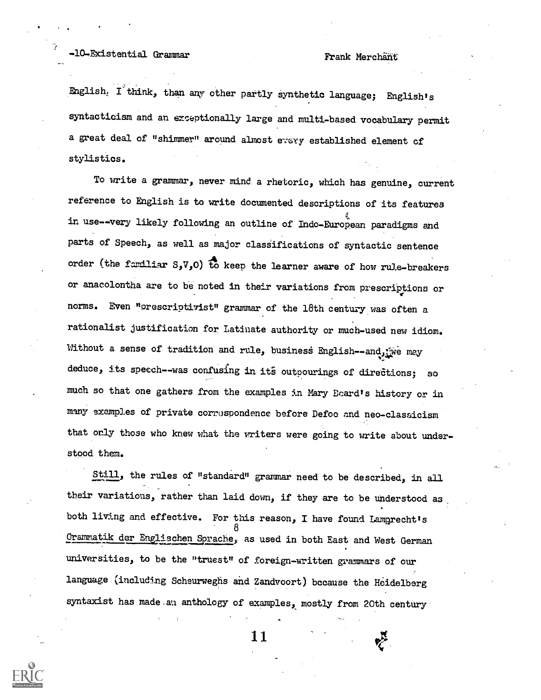## -10-Existential Grammar Frank Merchant

Ehglish. I'think, than any other partly synthetic language; English's syntactioism and an exceptionally large and multi-based vocabulary permit a great deal of "shimmer" around almost every established element of stylistics.

To write a grammar, never mind a rhetoric, which has genuine, current reference to English is to write documented descriptions of its features in use--very likely following an outline of Indo-European paradigms and parts of Speech, as well as major classifications of syntactic sentence order (the familiar  $S_yV_yO$ ) to keep the learner aware of how rule-breakers or anacolontha are to be noted in their variations from prescrippions or norms. Even "orescriptivist" grammar of the 18th century was often a rationalist justification for Latinate authority or much-used new idiom. Without a sense of tradition and rule, business English--and, we may deduce, its speech--was confusing in its outpourings of directions; so much so that one gathers from the examples in Mary Ecard's history or in mnny examples of private corrospondence before Defoe and neo-classicism that only those who knew what the writers were going to write about understood them.

Still, the rules of "standard" grammar need to be described, in all their variations, rather than laid down, if they are to be understood as\_ both living and effective. For this reason, I have found Lamprecht's 8 Grammatik der Englischen Sprache, as used in both East and West German universities, to be the "truest" of foreign-written grammars of our language (including Scheurweghs and Zandvoort) bccause the Heidelberg syntaxist has made.an anthology of examples, mostly from 20th century

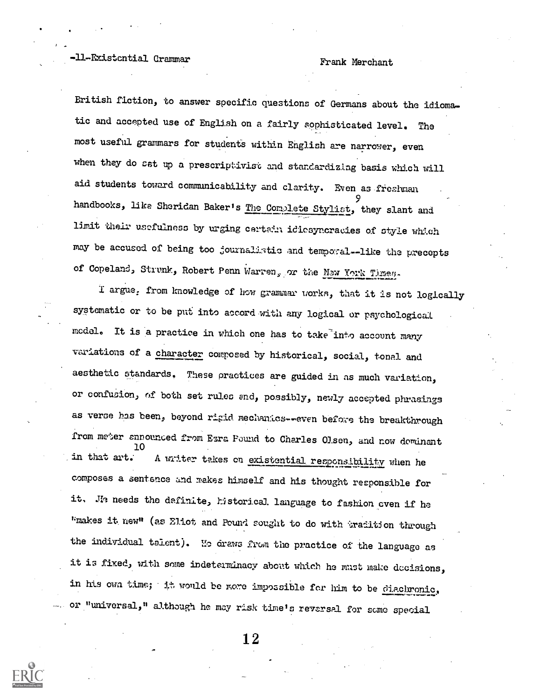British fiction, to answer specific questions of Germans about the idiomatic and accepted use of English on a fairly sophisticated level. The most useful grammars for students within English are narrower, even when they do set up a prescriptivist and standardizing basis which will aid students toward communicability and clarity. Even as freehman handbooks, like Sheridan Baker's The Complete Stylist, they slant and limit their usefulnese by urging certain idicsyncraaies of style which may be accused of being too journalistic and temporal--like the precepts of Copeland, Strunk, Robert Penn Warren, or the Naw York Times-

I argue: from knowledge of how grammar Lorks, that it is not logically systematic or to be put into accord with any logical or psychological model. It is a practice in which one has to take into account many variations of a character composed by historical, social, tonal and aesthetic standards. These practices are guided in as much variation, or confusion, of both set rules and, possibly, newly accepted phrasings as verse has been, beyond rigid mechanics--even before the breakthrough from meter announced from Esra Pound to Charles Olsen, and now dominant 10 in that art. A writer takes on existential responsibility when he composes a sentence and makes himself and his thought responsible for it. Je needs the definite, historical language to fashion even if he "makes it new" (as Eliot and Pound sought to do with tradition through the individual talent). We draws from the practice of the language as it is fixed, with some indeterminacy about which he must make decisions, in his own time; it would be more impossible for him to be diachronic, or "universal," although he may risk timels reversal for some special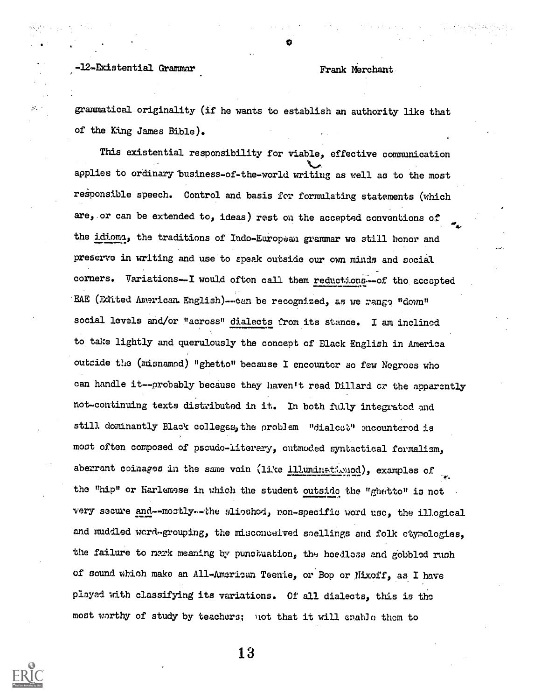### -12-Existential Grammar Frank Merchant

 $20\%$ 

grammatical originality (if he wants to establish an authority like that of the King James Bible).

This existential responsibility for viable, effective communication applies to ordinary business-of-the-world writing as well as to the most responsible speech. Control and basis for formulating statements (which are, or can be extended to, ideas) rest on the accepted conventions of the idioma, the traditions of Indo-European grammar we still honor and preserve in writing and use to speak outside our own minds and social corners. Variations-I would often call them reductions--of the accepted EAE (Edited American. English)--can be recognized, as we range "down" social levels and/or "across" dialects from its stance. I am inclined to take lightly and querulously the concept of Black English in America outside the (misnamed) "ghetto" because I encounter so few Negroes who can handle it--probably because they haven't read Dillard cr the apparently not-continuing texts distributed in it. In both fully integrated and still dominantly Black colleges, the problem "dialect" encountered is moot often composed of pseudo-literary, outmoded syntactical formalism, aberrant coinages in the same voin (like illuminationed), examples of the "hip" or Harlemsse in which the student outside the "ghetto" i3 not very secure and--mostly--the slioshod, non-specific word use, the illogical and muddled word-grouping, the misconceived soellings and folk etymologies, the failure to nark meaning by punctuation, the heedless and gobbled runh of sound which make an All-American Teenie, or Bop or Nixoff, as I have played with classifying its variations. Of all dialects, this is the most worthy of study by teachers; not that it will enable them to

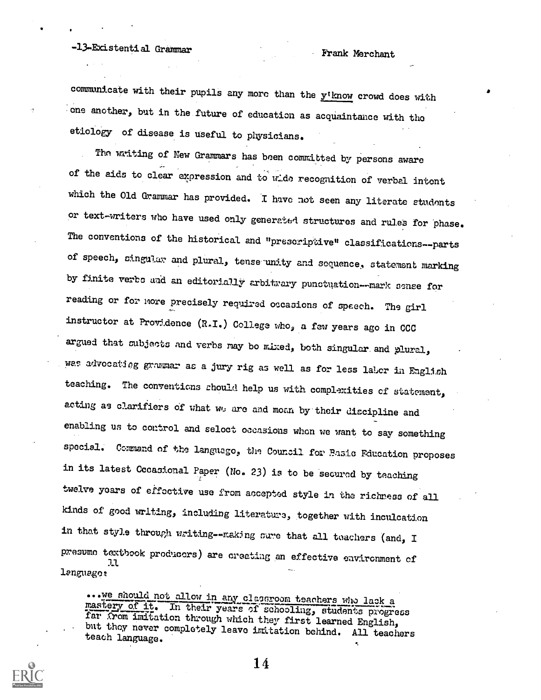# -13-Existential Grammar Frank Merchant

communicate with their pupils any more than the  $y'$ know crowd does with .one another, but in the.future of education as acquaintance with tho etiology of disease is useful to physicians.

The writing of New Grammars has been committed by persons aware of the aids to clear expression and to wide recognition of verbal intent which the Old Grammar has provided. I have not seen any literate students or text-writers who have used only generated structures and rules for phase. The conventions of the historical and "prescriptive" classifications--parts of speech, singular and plural, tense-unity and sequence, statement marking by finite verbs and an editorially arbitrary punctuation---mark sense for reading or for more precisely required occasions of speech. The girl instructor at Providence (LT.) College who, a few years ago in CCC argued that subjects and verbs may be mixed, both singular and plural, was advocating grammar as a jury rig as well as for less labor in English teaching. The conventions should help us with complexities of statement, acting as clarifiers of what we are and moan by their discipline and enabling us to control and seloct occasions when we want to say something special. Command of the language, the Council for Basic Education proposes in its latest Occasional Paper (No. 23) is to be secured by teaching twelve years of effoctive use from accepted style in the richness of all kinds of good uriting, including literature, together with inculcation in that style through writing--making sure that all teachers (and, I presume textbook producers) are creating an effective environment of language;

...we should not allow in any classroom teachers who lack a mastery of it. In their years of schooling, students progress far Yom imitation through which they first learned English, but they never completely leave imitation behind. All teachers teach language.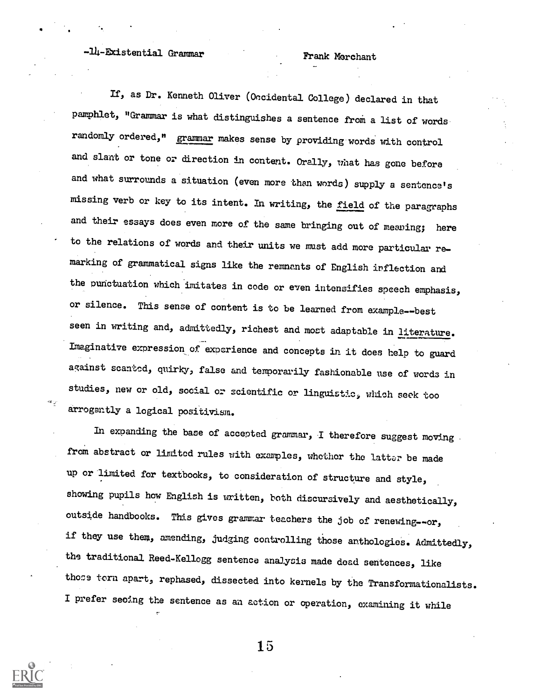## -14-Existential Grammar Frank Merchant

If, as Dr. Kenneth Oliver (0ocidental College) declared in that pamphlet, "Grammar is what distinguishes a sentence from a list of words randomly ordered," grammar makes sense by providing words with control and slant or tone or direction in content. Orally, what has gone before and what surrounds a situation (even more than words) supply a sentence's missing verb or key to its intent. In writing, the field of the paragraphs and their essays does even more of the same bringing out of meaning; here to the relations of words and their units we must add more particular re marking of grammatical signs like the remnants of English inflection and the punctuation which imitates in code or even intensifies speech emphasis, or silence. This sense of content is to be learned from example--best seen in writing and, admittedly, richest and most adaptable in literature. Imaginative expression of experience and concepts in it does help to guard against scanted, quirky, false and temporarily fashionable use of words in studies, new or old, social or scientific or linguistic, which seek too arrogantly a logical positivism.

In expanding the base of accepted grammar, I therefore suggest moving from abstract or limited rules with examples, whether the latter be made up or limited for textbooks, to consideration of structure and style, showing pupils how English is written, both discursively and aesthetically, outside handbooks. This gives grammar teachers the job of renewing--or, if they use them, amending, judging controlling those anthologies. Admittedly, the traditional Reed-Kellogg sentence analysis made dead sentences, like those torn apart, rephased, dissected into kernels by the Transformationalists. I prefer seoing the sentence as an action or operation, examining it while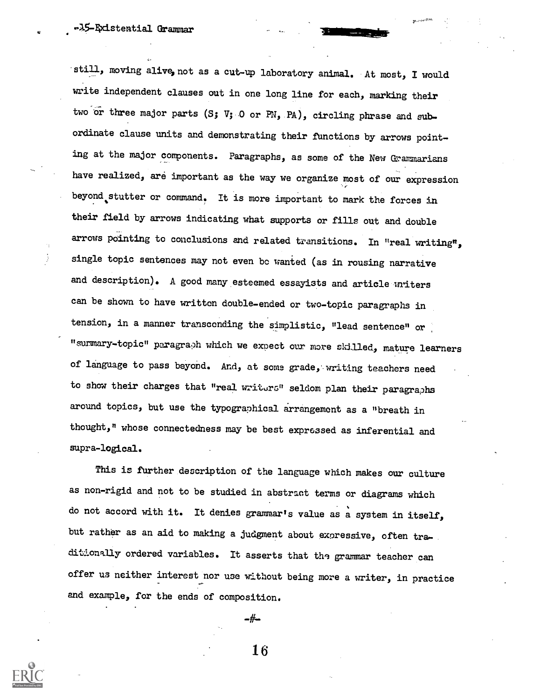### .45-gxistential Grammar

still, moving alive, not as a cut-up laboratory animal. At most, I would write independent clauses out in one long line for each, marking their two or three major parts (S;  $V$ ; 0 or PN, PA), circling phrase and subordinate clause units and demonstrating their functions by arrows pointing at the major components. Paragraphs, as some of the New Grammarians have realized, are important as the way we organize most of our expression beyond.stutter or command. It is more important to mark the forces in their field by arrows indicating what supports or fills out and double arrows pointing to conclusions and related transitions. In "real writing", single topic sentences may not even bc wanted (as in rousing narrative and description). A good many esteemed essayists and article writers can be shown to have written double-ended or two-topic paragraphs in tension, in a manner transcending the simplistic, "lead sentence" or "summary-topic" paragraph which we expect our more skilled, mature learners of language to pass beyond. And, at some grade, writing teachers need to show their charges that "real writers" seldom plan their paragraphs around topics, but use the typographical arrangement as a "breath in thought," whose connectedness may be best expressed as inferential and supra-logical.

This is further description of the language which makes our culture as non-rigid and not to be studied in abstract terms or diagrams which do not accord with it. It denies grammar's value as a system in itself, but rather as an aid to making a judgment about expressive, often traditionally ordered variables. It asserts that the grammar teacher can offer us neither interest nor use without being more a writer, in practice and example, for the ends of composition.

 $-#$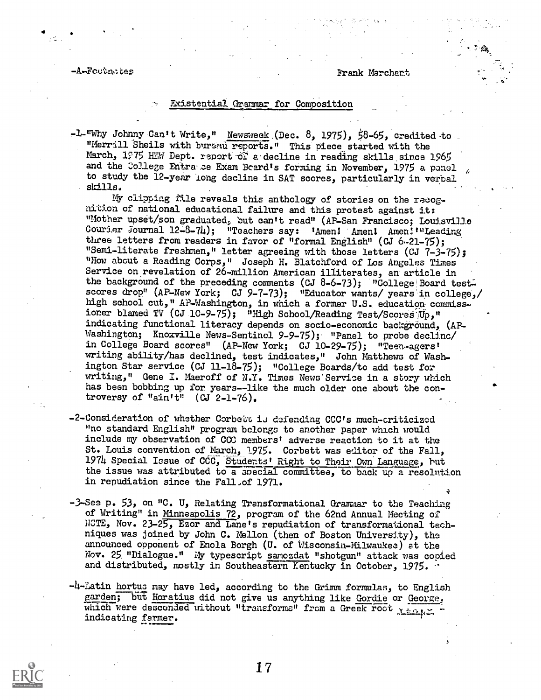$\mathcal{P}$  and  $\mathcal{P}$ 

### -A-Foctu,16es Frank Merchant

### Existential Grammar for Composition

-1-"Why Johnny Can't Write," Newsweek (Dec. 8, 1975), 58-65, credited-to "Merrill Sheils with bureau reports." This piece started with the March, 1975 HEW Dept. report of a decline in reading skills since 1965 and the College Entra ce Exam Board's forming in November, 1975 a panel to study the 12-year long decline in SAT scores, particularly in verbal skills.

MY clipping tile reveals this anthology of stories on the recognition of national educational failure and this protest against it: "Mother upset/son graduated, but can't read" (AP-San Francisco; Louisville Courier Journal 12-8-74); "Teachers say: 'Amen! Amen! Amen!'"Leading three letters from readers in favor of "formal English" (CJ 6-21-75); "Semi-literate freshmen," letter agreeing with those letters (CJ 7-3-75); "How about a Reading Corps," Joseph H. Blatchford of Los Angeles Times Service on revelation of 26-million American illiterates, an article in the background of the preceding comments (CJ 8-6-73); "College Board test. scores drop" (AP-New York; CJ 9-7-73); "Educator wants/ years in college,/ high school cut," AP-Washington, in which a former U.S. education commissioner blamed TV (CJ 10-9-75); "High School/Reading Test/Scores<sup>-Tup</sup>," indicating functional literacy depends on socio-economic background, (AP-Washington; Knoxville News-Sentinel 9-9-75); "Panel to probe decline/ in College Board scores" (AP-New York; CJ 10-29-75); "Teen-agers! writing ability/has declined, test indicates," John Matthews of Washington Star service (CJ 11-18-75); "College Boards/to add test for writing," Gene I. Maeroff of N.Y. Times News Service in a story which has been bobbing up for years--like the much older one about the controversy of "ain't" (CJ 2-1-76).

- -2-Consideration of whether Corbett is defending CCC's much-criticized "no standard English" program belongs to another paper which would include my observation of CCC members! adverse reaction to it at the St. Louis convention of March, 1975. Corbett was editor of the Fall, 1974 Special Issue of CCC, Students! Right to Their Own Language, but the issue was attributed to a special committee, to back up a resolution in repudiation since the Fall of 1971.
- -3-See p. 53, on "C. U, Relating Transformational Grammar to the Teaching of Writing" in Minneanolis 72, program of the 62nd Annual Meeting of NCTE, Nov. 23-25, Ezor and Lane's repudiation of transformational techniques was joined by John C. Mellon (then of Boston University), the announced opponent of Enola Borgh (U. of Wisconsin-Milwaukee) at the, Nov. 25 "Dialogue." My typescript samozdat "shotgun" attack was copied and distributed, mostly in Southeastern Kentucky in October, 1975.
- -4-Latin hortus may have led, according to the Grimm formulas, to English garden; but Horatius did not give us anything like Gordie or George, which were descended without "transforms" from a Greek root Years. indicating farmer.

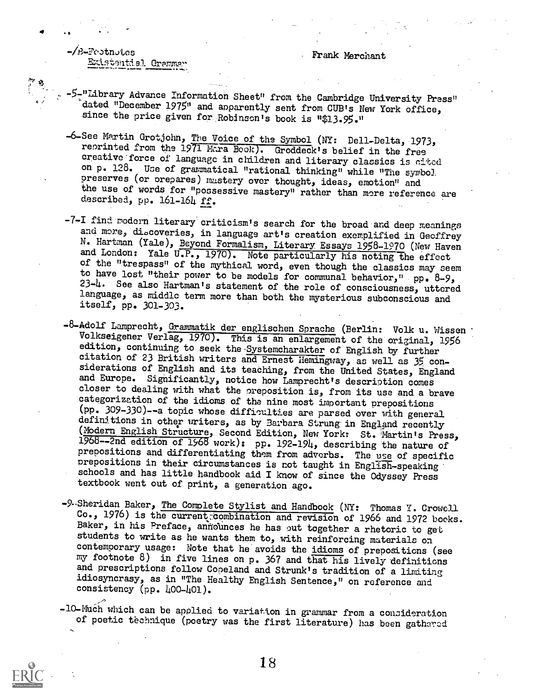### Frank Merchant

-/B-Footnotes **Existentiel Gremma** 

4 .

:17

- -5-"Library Advance Information Sheet" from the Cambridge University Press" dated "December 1975" and apparently sent from CUB's New York office, since the price given for Robinson's book is "\$13.95."
- -6-See Martin Grotjohn, The Voice of the Symbol (NY: Dell-Delta, 1973, reprinted from the 1971 Mara Book). Groddeck's belief in the free creative'force of language in children and literary classics is cited on p. 128. Use of grammatical "rational thinking" while "The symbol preserves (or prepares) mastery over thought, ideas, emotion" and the use of words for "possessive mastery" rather than more reference are described, pp. 161-164 ff.
- -7-I find modern literary criticism's search for the broad and deep meanings and more, discoveries, in language art's creation exemplified in Geoffrey N. Hartman (Yale), Beyond Formalism, Literary Essays 1958-1970 (New Haven and London: Yale U.P., 1970). Note particularly his noting the effect of the "trespass" of the mythical word, even though the classics may seem to have lost "their power to be models for communal behavior," pp.  $8-9$ , 23-4. See also Hartman's statement of the role of consciousness, uttered language, as middle term more than both the mysterious subconscious and itself, pp. 301-303.
- -8-Adolf Lamprecht, Grammatik der englischen Sprache (Berlin: Volk u. Wissen Volkseigener Verlag, 1970). This is an enlargement of the original, 1956 edition, continuing to seek the-Systemcharakter of English by further citation of 23 British writers and Ernest Hemingway, as well as 35, considerations of English and its teaching, from the United States, England and Europe. Significantly, notice how Lamprecht's description comes closer to dealing with what the preposition is, from its use and a brave categorization of the idioms of the nine most important prepositions (pp. 309-330)--a topic whose diffieulties are parsed over with general definitions in other writers, as by 3arbara Strung. in England recently (Modern English Structure, Second Edition, New York: St. Martin's Press, 1968--2nd edition of 1968 work): pp. 192-194, describing the nature of prepositions and differentiating them from adverbs. The use of specific prepositions in their circumstances is not taught in English-speaking schools and has little handbook aid I know of since the Odyssey Press textbook went out of print, a generation ago.
- -9-Sheridan Baker, The Complete Stylist and Handbook (NY: Thomas Y. Crowell Co., 1976) is the current:Combination and revision of 1966 and 1972 books. Baker, in his Preface, announces he has out together a rhetoric to get students to write as he wants them to, with reinforcing materials on contemporary usage: Note that he avoids the idioms of prepositions (see my footnote 8) in five lines on p. 367 and that his lively definitions and prescriptions follow Copeland and Strunk's tradition of a limiting idiosyncrasy, as in "The Healthy English Sentence," on reference and consistency  $(pp. 400-401)$ .

-10-Much which can be applied to variation in grammar from a consideration of poetic technique (poetry was the first literature) has been gathored